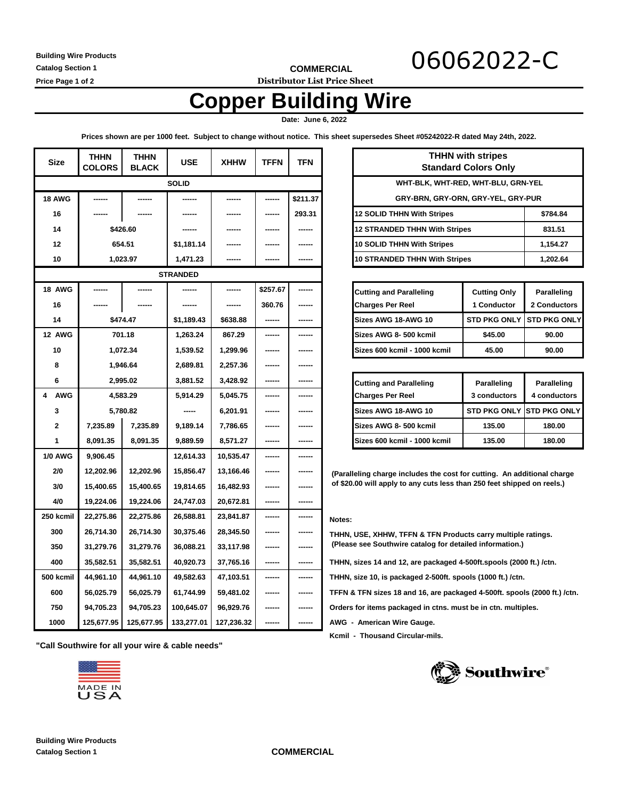**Building Wire Products Catalog Section 1**

**COMMERCIAL** 06062022-C

**Price Page 1 of 2 Distributor List Price Sheet**

# **Copper Building Wire**

 **Date: June 6, 2022** 

**Prices shown are per 1000 feet. Subject to change without notice. This sheet supersedes Sheet #05242022-R dated May 24th, 2022.**

| <b>Size</b>     | <b>THHN</b><br><b>COLORS</b> | <b>THHN</b><br><b>BLACK</b> | <b>USE</b>      | <b>XHHW</b> | <b>TFFN</b> | <b>TFN</b> | <b>THHN with stripes</b><br><b>Standard Colors Only</b>                   |  |  |
|-----------------|------------------------------|-----------------------------|-----------------|-------------|-------------|------------|---------------------------------------------------------------------------|--|--|
| <b>SOLID</b>    |                              |                             |                 |             |             |            | WHT-BLK, WHT-RED, WHT-BLU, GRN-YEL                                        |  |  |
| <b>18 AWG</b>   |                              |                             | ------          | ------      | ------      | \$211.37   | GRY-BRN, GRY-ORN, GRY-YEL, GRY-PUR                                        |  |  |
| 16              |                              |                             |                 |             | ------      | 293.31     | <b>12 SOLID THHN With Stripes</b><br>\$784.84                             |  |  |
| 14              | \$426.60                     |                             |                 |             | ------      |            | <b>12 STRANDED THHN With Stripes</b><br>831.51                            |  |  |
| 12              | 654.51                       |                             | \$1,181.14      |             |             |            | 10 SOLID THHN With Stripes<br>1,154.27                                    |  |  |
| 10              | 1,023.97                     |                             | 1,471.23        | ------      |             |            | <b>10 STRANDED THHN With Stripes</b><br>1,202.64                          |  |  |
|                 |                              |                             | <b>STRANDED</b> |             |             |            |                                                                           |  |  |
| <b>18 AWG</b>   |                              | ------                      | ------          | ------      | \$257.67    | ------     | <b>Cutting and Paralleling</b><br><b>Cutting Only</b><br>Paralleling      |  |  |
| 16              |                              |                             |                 |             | 360.76      |            | <b>Charges Per Reel</b><br>1 Conductor<br>2 Conductors                    |  |  |
| 14              | \$474.47                     |                             | \$1,189.43      | \$638.88    | ------      | ------     | <b>STD PKG ONLY</b><br><b>STD PKG ONLY</b><br>Sizes AWG 18-AWG 10         |  |  |
| <b>12 AWG</b>   | 701.18                       |                             | 1,263.24        | 867.29      | ------      | ------     | Sizes AWG 8-500 kcmil<br>\$45.00<br>90.00                                 |  |  |
| 10              | 1,072.34                     |                             | 1,539.52        | 1,299.96    | ------      | ------     | Sizes 600 kcmil - 1000 kcmil<br>45.00<br>90.00                            |  |  |
| 8               | 1,946.64                     |                             | 2,689.81        | 2,257.36    | ------      |            |                                                                           |  |  |
| 6               | 2,995.02                     |                             | 3,881.52        | 3,428.92    | ------      | ------     | <b>Cutting and Paralleling</b><br>Paralleling<br>Paralleling              |  |  |
| <b>AWG</b><br>4 | 4,583.29                     |                             | 5,914.29        | 5,045.75    | ------      |            | <b>Charges Per Reel</b><br>3 conductors<br>4 conductors                   |  |  |
| 3               | 5,780.82                     |                             | -----           | 6,201.91    | ------      |            | Sizes AWG 18-AWG 10<br><b>STD PKG ONLY</b><br><b>STD PKG ONLY</b>         |  |  |
| $\mathbf{2}$    | 7,235.89                     | 7,235.89                    | 9,189.14        | 7,786.65    | ------      |            | Sizes AWG 8-500 kcmil<br>135.00<br>180.00                                 |  |  |
| $\mathbf{1}$    | 8,091.35                     | 8,091.35                    | 9,889.59        | 8,571.27    | ------      |            | 135.00<br>Sizes 600 kcmil - 1000 kcmil<br>180.00                          |  |  |
| <b>1/0 AWG</b>  | 9,906.45                     |                             | 12,614.33       | 10,535.47   | ------      | ------     |                                                                           |  |  |
| 2/0             | 12,202.96                    | 12,202.96                   | 15,856.47       | 13,166.46   | ------      | ------     | (Paralleling charge includes the cost for cutting. An additional charge   |  |  |
| 3/0             | 15,400.65                    | 15,400.65                   | 19,814.65       | 16,482.93   | ------      | ------     | of \$20.00 will apply to any cuts less than 250 feet shipped on reels.)   |  |  |
| 4/0             | 19,224.06                    | 19,224.06                   | 24,747.03       | 20,672.81   | ------      | ------     |                                                                           |  |  |
| 250 kcmil       | 22,275.86                    | 22,275.86                   | 26,588.81       | 23,841.87   | ------      | ------     | Notes:                                                                    |  |  |
| 300             | 26,714.30                    | 26,714.30                   | 30,375.46       | 28,345.50   | ------      | ------     | THHN, USE, XHHW, TFFN & TFN Products carry multiple ratings.              |  |  |
| 350             | 31,279.76                    | 31,279.76                   | 36,088.21       | 33,117.98   | ------      | ------     | (Please see Southwire catalog for detailed information.)                  |  |  |
| 400             | 35,582.51                    | 35,582.51                   | 40,920.73       | 37,765.16   | ------      | ------     | THHN, sizes 14 and 12, are packaged 4-500ft.spools (2000 ft.) /ctn.       |  |  |
| 500 kcmil       | 44,961.10                    | 44,961.10                   | 49,582.63       | 47,103.51   | ------      | ------     | THHN, size 10, is packaged 2-500ft. spools (1000 ft.) /ctn.               |  |  |
| 600             | 56,025.79                    | 56,025.79                   | 61,744.99       | 59,481.02   | ------      | ------     | TFFN & TFN sizes 18 and 16, are packaged 4-500ft. spools (2000 ft.) /ctn. |  |  |
| 750             | 94,705.23                    | 94,705.23                   | 100,645.07      | 96,929.76   | ------      | ------     | Orders for items packaged in ctns. must be in ctn. multiples.             |  |  |
| 1000            | 125,677.95                   | 125,677.95                  | 133,277.01      | 127,236.32  | ------      | ------     | AWG - American Wire Gauge.                                                |  |  |

**"Call Southwire for all your wire & cable needs"** 



| <b>THHN with stripes</b><br><b>Standard Colors Only</b> |          |  |  |  |  |
|---------------------------------------------------------|----------|--|--|--|--|
| WHT-BLK, WHT-RED, WHT-BLU, GRN-YEL                      |          |  |  |  |  |
| GRY-BRN, GRY-ORN, GRY-YEL, GRY-PUR                      |          |  |  |  |  |
| 12 SOLID THHN With Stripes                              | \$784.84 |  |  |  |  |
| 12 STRANDED THHN With Stripes                           | 831.51   |  |  |  |  |
| 10 SOLID THHN With Stripes                              | 1,154.27 |  |  |  |  |
| 10 STRANDED THHN With Stripes                           | 1.202.64 |  |  |  |  |

| <b>Cutting and Paralleling</b><br><b>Charges Per Reel</b> | <b>Cutting Only</b><br>1 Conductor | <b>Paralleling</b><br>2 Conductors |  |
|-----------------------------------------------------------|------------------------------------|------------------------------------|--|
| Sizes AWG 18-AWG 10                                       |                                    | STD PKG ONLY ISTD PKG ONLY         |  |
| Sizes AWG 8-500 kcmil                                     | \$45.00                            | 90.00                              |  |
| Sizes 600 kcmil - 1000 kcmil                              | 45.00                              | 90.00                              |  |

| <b>Cutting and Paralleling</b><br><b>Charges Per Reel</b> | <b>Paralleling</b><br>3 conductors | Paralleling<br>4 conductors       |  |
|-----------------------------------------------------------|------------------------------------|-----------------------------------|--|
| <b>Sizes AWG 18-AWG 10</b>                                |                                    | <b>STD PKG ONLY ISTD PKG ONLY</b> |  |
| Sizes AWG 8- 500 kcmil                                    | 135.00                             | 180.00                            |  |
| Sizes 600 kcmil - 1000 kcmil                              | 135.00                             | 180.00                            |  |

 **Kcmil - Thousand Circular-mils.**